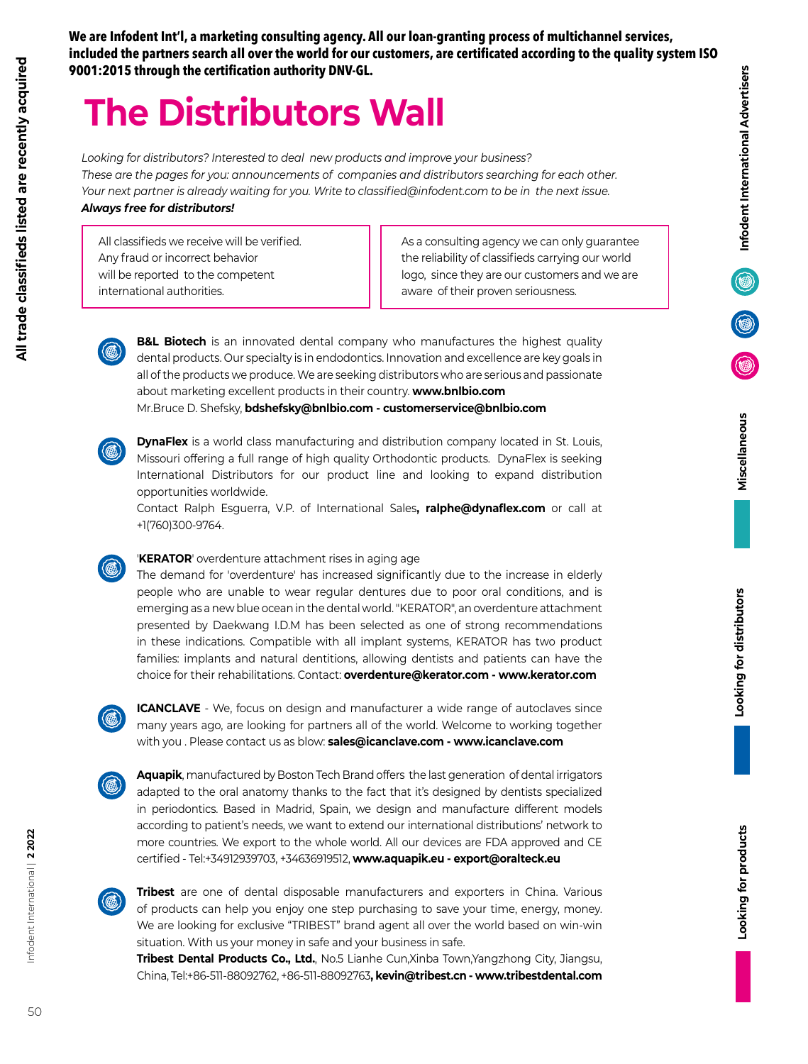**We are Infodent Int'l, a marketing consulting agency. All our loan-granting process of multichannel services, included the partners search all over the world for our customers, are certificated according to the quality system ISO 9001:2015 through the certification authority DNV-GL.**

## **The Distributors Wall**

*Looking for distributors? Interested to deal new products and improve your business? These are the pages for you: announcements of companies and distributors searching for each other. Your next partner is already waiting for you. Write to classified@infodent.com to be in the next issue. Always free for distributors!*

> **B&L Biotech** is an innovated dental company who manufactures the highest quality dental products. Our specialty is in endodontics. Innovation and excellence are key goals in all of the products we produce. We are seeking distributors who are serious and passionate

> **DynaFlex** is a world class manufacturing and distribution company located in St. Louis, Missouri offering a full range of high quality Orthodontic products. DynaFlex is seeking

All classifieds we receive will be verified. Any fraud or incorrect behavior will be reported to the competent international authorities.

As a consulting agency we can only guarantee the reliability of classifieds carrying our world logo, since they are our customers and we are aware of their proven seriousness.

Looking for products

International Distributors for our product line and looking to expand distribution opportunities worldwide. Contact Ralph Esguerra, V.P. of International Sales**, ralphe@dynaflex.com** or call at +1(760)300-9764.

about marketing excellent products in their country. **www.bnlbio.com** Mr.Bruce D. Shefsky, **bdshefsky@bnlbio.com - customerservice@bnlbio.com**

## '**KERATOR**' overdenture attachment rises in aging age

The demand for 'overdenture' has increased significantly due to the increase in elderly people who are unable to wear regular dentures due to poor oral conditions, and is emerging as a new blue ocean in the dental world. "KERATOR", an overdenture attachment presented by Daekwang I.D.M has been selected as one of strong recommendations in these indications. Compatible with all implant systems, KERATOR has two product families: implants and natural dentitions, allowing dentists and patients can have the choice for their rehabilitations. Contact: **overdenture@kerator.com - www.kerator.com**



**ICANCLAVE** - We, focus on design and manufacturer a wide range of autoclaves since many years ago, are looking for partners all of the world. Welcome to working together with you . Please contact us as blow: **sales@icanclave.com - www.icanclave.com**

**Aquapik**, manufactured by Boston Tech Brand offers the last generation of dental irrigators adapted to the oral anatomy thanks to the fact that it's designed by dentists specialized in periodontics. Based in Madrid, Spain, we design and manufacture different models according to patient's needs, we want to extend our international distributions' network to more countries. We export to the whole world. All our devices are FDA approved and CE certified - Tel:+34912939703, +34636919512, **www.aquapik.eu - export@oralteck.eu** 



**Tribest** are one of dental disposable manufacturers and exporters in China. Various of products can help you enjoy one step purchasing to save your time, energy, money. We are looking for exclusive "TRIBEST" brand agent all over the world based on win-win situation. With us your money in safe and your business in safe.

**Tribest Dental Products Co., Ltd.**, No.5 Lianhe Cun,Xinba Town,Yangzhong City, Jiangsu, China, Tel:+86-511-88092762, +86-511-88092763**, kevin@tribest.cn - www.tribestdental.com**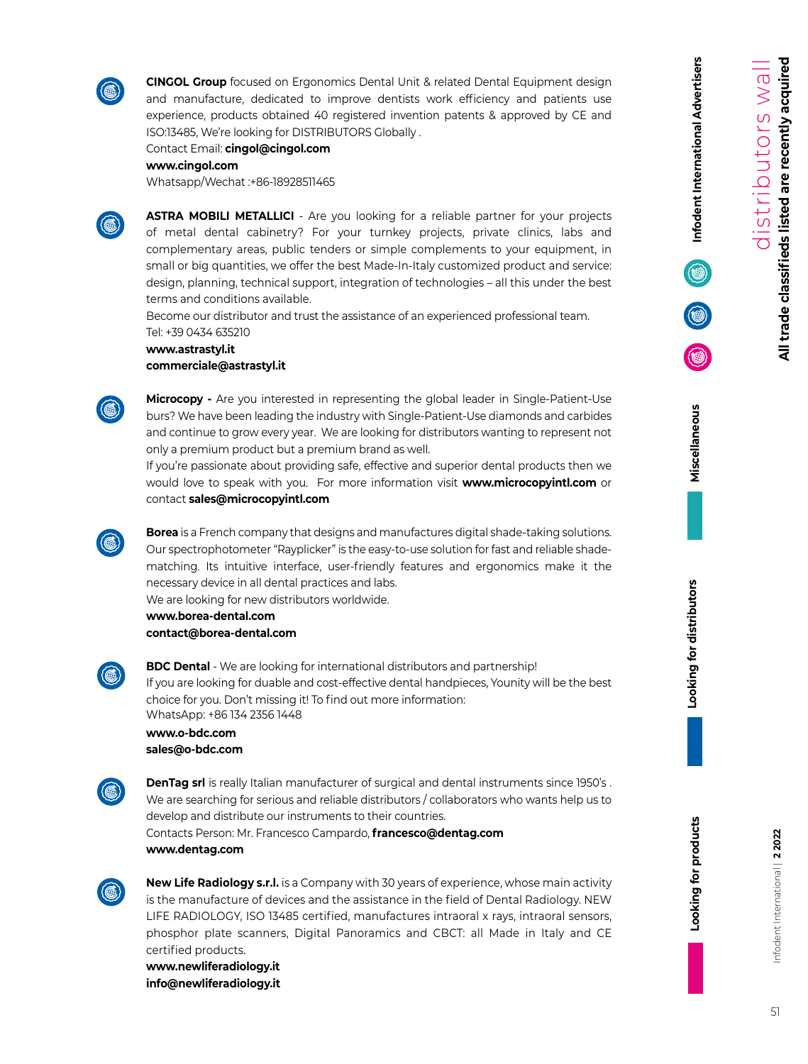

**CINGOL Group** focused on Ergonomics Dental Unit & related Dental Equipment design and manufacture, dedicated to improve dentists work efficiency and patients use experience, products obtained 40 registered invention patents & approved by CE and ISO:13485, We're looking for DISTRIBUTORS Globally .

Contact Email: **cingol@cingol.com**

**www.cingol.com** 

Whatsapp/Wechat :+86-18928511465



**ASTRA MOBILI METALLICI** - Are you looking for a reliable partner for your projects of metal dental cabinetry? For your turnkey projects, private clinics, labs and complementary areas, public tenders or simple complements to your equipment, in small or big quantities, we offer the best Made-In-Italy customized product and service: design, planning, technical support, integration of technologies – all this under the best terms and conditions available.

Become our distributor and trust the assistance of an experienced professional team. Tel: +39 0434 635210

**www.astrastyl.it commerciale@astrastyl.it**

**Microcopy -** Are you interested in representing the global leader in Single-Patient-Use burs? We have been leading the industry with Single-Patient-Use diamonds and carbides and continue to grow every year. We are looking for distributors wanting to represent not only a premium product but a premium brand as well.

If you're passionate about providing safe, effective and superior dental products then we would love to speak with you. For more information visit **www.microcopyintl.com** or contact **sales@microcopyintl.com**

**Borea** is a French company that designs and manufactures digital shade-taking solutions. Our spectrophotometer "Rayplicker" is the easy-to-use solution for fast and reliable shadematching. Its intuitive interface, user-friendly features and ergonomics make it the necessary device in all dental practices and labs.

We are looking for new distributors worldwide.

**www.borea-dental.com contact@borea-dental.com**



**BDC Dental** - We are looking for international distributors and partnership! If you are looking for duable and cost-effective dental handpieces, Younity will be the best choice for you. Don't missing it! To find out more information: WhatsApp: +86 134 2356 1448

**www.o-bdc.com sales@o-bdc.com**



**DenTag srl** is really Italian manufacturer of surgical and dental instruments since 1950's. We are searching for serious and reliable distributors / collaborators who wants help us to develop and distribute our instruments to their countries. Contacts Person: Mr. Francesco Campardo, **francesco@dentag.com**

**www.dentag.com**



**New Life Radiology s.r.l.** is a Company with 30 years of experience, whose main activity is the manufacture of devices and the assistance in the field of Dental Radiology. NEW LIFE RADIOLOGY, ISO 13485 certified, manufactures intraoral x rays, intraoral sensors, phosphor plate scanners, Digital Panoramics and CBCT: all Made in Italy and CE certified products.

**www.newliferadiology.it info@newliferadiology.it** **Infodent International Advertisers**

Infodent International Advertisers

**Looking for products Looking for distributors Miscellaneous**

Looking for products

Looking for distributors

Miscellaneous

Infodent International | **2 2022**

51

nfodent International | 2 2022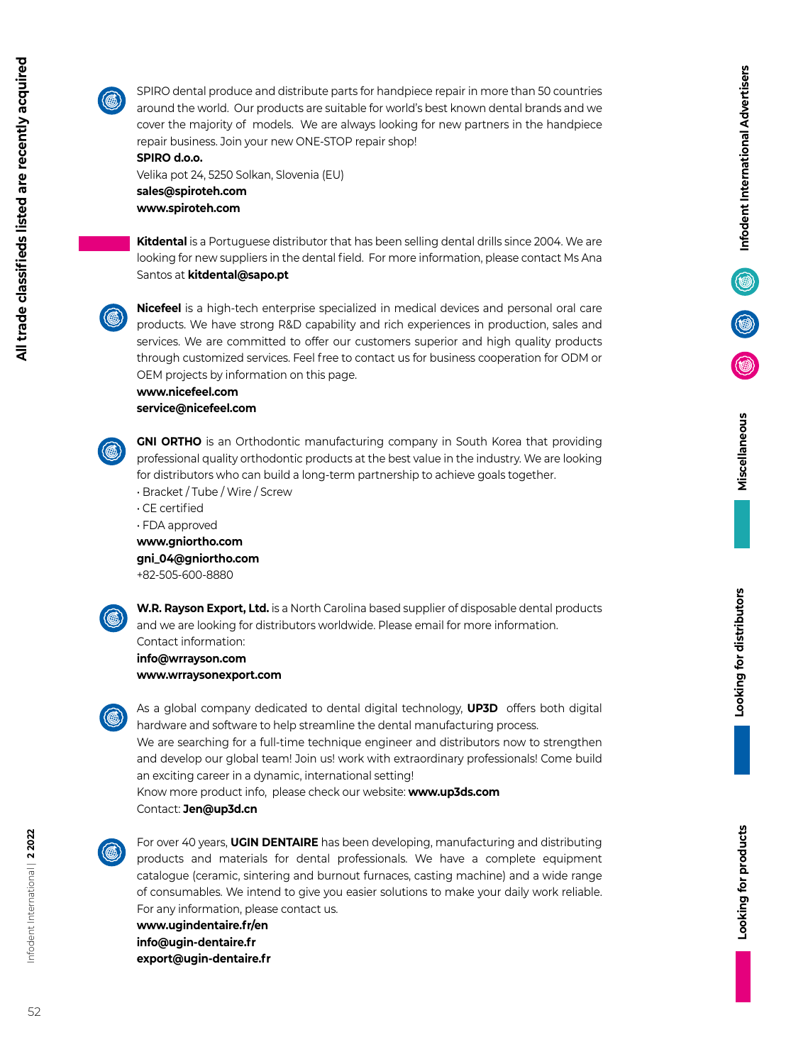

All trade classifieds listed are recently acquired

SPIRO dental produce and distribute parts for handpiece repair in more than 50 countries around the world. Our products are suitable for world's best known dental brands and we cover the majority of models. We are always looking for new partners in the handpiece repair business. Join your new ONE-STOP repair shop!

## **SPIRO d.o.o.**

Velika pot 24, 5250 Solkan, Slovenia (EU) **sales@spiroteh.com www.spiroteh.com**

**Kitdental** is a Portuguese distributor that has been selling dental drills since 2004. We are looking for new suppliers in the dental field. For more information, please contact Ms Ana Santos at **kitdental@sapo.pt**

**Nicefeel** is a high-tech enterprise specialized in medical devices and personal oral care products. We have strong R&D capability and rich experiences in production, sales and services. We are committed to offer our customers superior and high quality products through customized services. Feel free to contact us for business cooperation for ODM or OEM projects by information on this page.

## **www.nicefeel.com service@nicefeel.com**

**GNI ORTHO** is an Orthodontic manufacturing company in South Korea that providing professional quality orthodontic products at the best value in the industry. We are looking for distributors who can build a long-term partnership to achieve goals together.

- Bracket / Tube / Wire / Screw
- CE certified
- FDA approved

**www.gniortho.com**

**gni\_04@gniortho.com**

+82-505-600-8880



**W.R. Rayson Export, Ltd.** is a North Carolina based supplier of disposable dental products and we are looking for distributors worldwide. Please email for more information. Contact information:

**info@wrrayson.com www.wrraysonexport.com**

As a global company dedicated to dental digital technology, **UP3D** offers both digital hardware and software to help streamline the dental manufacturing process. We are searching for a full-time technique engineer and distributors now to strengthen and develop our global team! Join us! work with extraordinary professionals! Come build an exciting career in a dynamic, international setting! Know more product info, please check our website: **www.up3ds.com** Contact: **Jen@up3d.cn**



For over 40 years, **UGIN DENTAIRE** has been developing, manufacturing and distributing products and materials for dental professionals. We have a complete equipment catalogue (ceramic, sintering and burnout furnaces, casting machine) and a wide range of consumables. We intend to give you easier solutions to make your daily work reliable. For any information, please contact us.

**www.ugindentaire.fr/en info@ugin-dentaire.fr export@ugin-dentaire.fr**

Infodent International |

 **2 2022**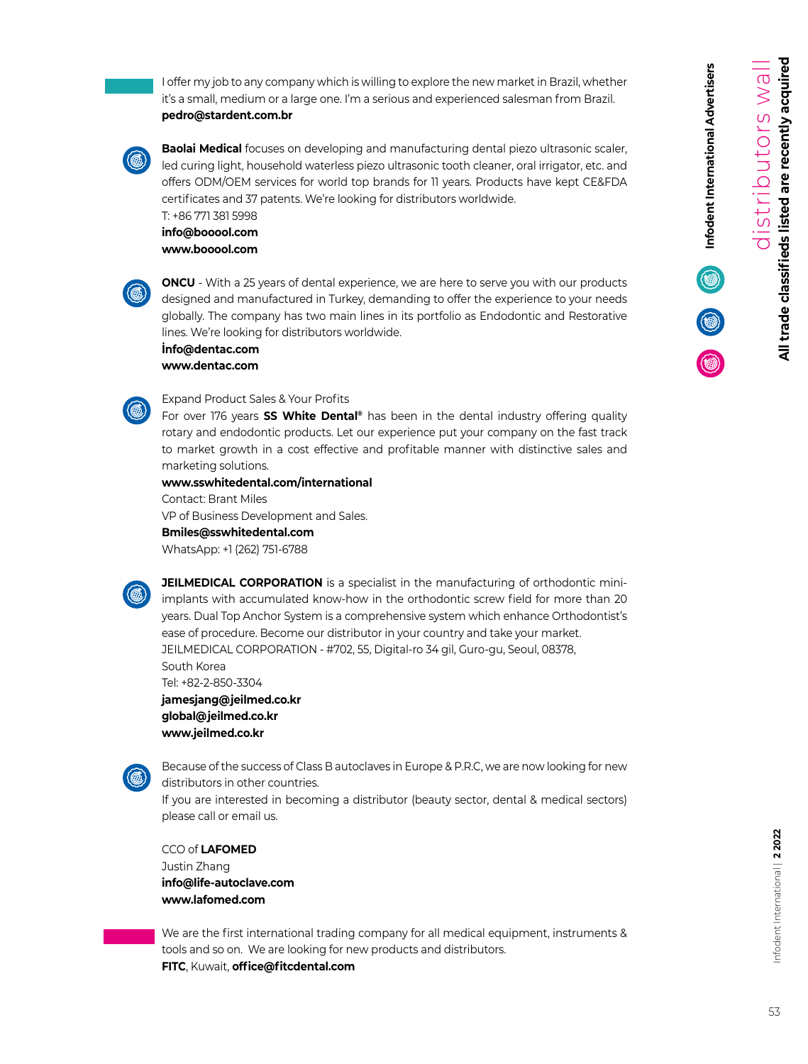**Infodent International Advertisers**

Infodent International Advertisers

I offer my job to any company which is willing to explore the new market in Brazil, whether it's a small, medium or a large one. I'm a serious and experienced salesman from Brazil. **pedro@stardent.com.br**

**Baolai Medical** focuses on developing and manufacturing dental piezo ultrasonic scaler, led curing light, household waterless piezo ultrasonic tooth cleaner, oral irrigator, etc. and offers ODM/OEM services for world top brands for 11 years. Products have kept CE&FDA certificates and 37 patents. We're looking for distributors worldwide.

T: +86 771 381 5998 **info@booool.com www.booool.com**



**ONCU** - With a 25 years of dental experience, we are here to serve you with our products designed and manufactured in Turkey, demanding to offer the experience to your needs globally. The company has two main lines in its portfolio as Endodontic and Restorative lines. We're looking for distributors worldwide.

**İnfo@dentac.com www.dentac.com**

Expand Product Sales & Your Profits

For over 176 years **SS White Dental®** has been in the dental industry offering quality rotary and endodontic products. Let our experience put your company on the fast track to market growth in a cost effective and profitable manner with distinctive sales and marketing solutions.

**www.sswhitedental.com/international** 

Contact: Brant Miles VP of Business Development and Sales. **Bmiles@sswhitedental.com** WhatsApp: +1 (262) 751-6788



**JEILMEDICAL CORPORATION** is a specialist in the manufacturing of orthodontic miniimplants with accumulated know-how in the orthodontic screw field for more than 20 years. Dual Top Anchor System is a comprehensive system which enhance Orthodontist's ease of procedure. Become our distributor in your country and take your market. JEILMEDICAL CORPORATION - #702, 55, Digital-ro 34 gil, Guro-gu, Seoul, 08378, South Korea

Tel: +82-2-850-3304 **jamesjang@jeilmed.co.kr global@jeilmed.co.kr www.jeilmed.co.kr** 



Because of the success of Class B autoclaves in Europe & P.R.C, we are now looking for new distributors in other countries. If you are interested in becoming a distributor (beauty sector, dental & medical sectors)

please call or email us.

CCO of **LAFOMED** Justin Zhang **info@life-autoclave.com www.lafomed.com**

We are the first international trading company for all medical equipment, instruments & tools and so on. We are looking for new products and distributors. **FITC**, Kuwait, **office@fitcdental.com**

nfodent International | 2 2022